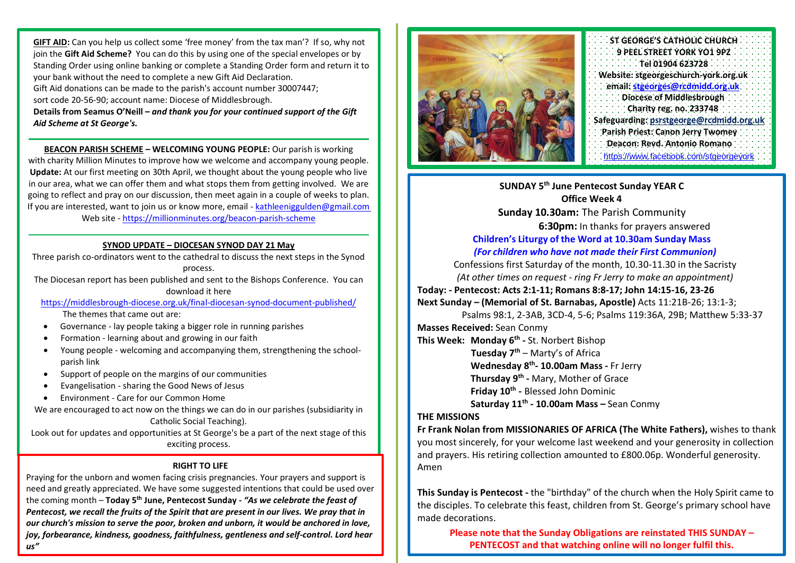**GIFT AID:** Can you help us collect some 'free money' from the tax man'? If so, why not join the **Gift Aid Scheme?** You can do this by using one of the special envelopes or by Standing Order using online banking or complete a Standing Order form and return it to your bank without the need to complete a new Gift Aid Declaration.

Gift Aid donations can be made to the parish's account number 30007447;

sort code 20-56-90; account name: Diocese of Middlesbrough.

**Details from Seamus O'Neill –** *and thank you for your continued support of the Gift Aid Scheme at St George's.*

**BEACON PARISH SCHEME – WELCOMING YOUNG PEOPLE:** Our parish is working with charity Million Minutes to improve how we welcome and accompany young people. **Update:** At our first meeting on 30th April, we thought about the young people who live in our area, what we can offer them and what stops them from getting involved. We are going to reflect and pray on our discussion, then meet again in a couple of weeks to plan. If you are interested, want to join us or know more, email - [kathleeniggulden@gmail.com](mailto:kathleeniggulden@gmail.com) Web site - <https://millionminutes.org/beacon-parish-scheme>

### **SYNOD UPDATE – DIOCESAN SYNOD DAY 21 May**

Three parish co-ordinators went to the cathedral to discuss the next steps in the Synod process.

The Diocesan report has been published and sent to the Bishops Conference. You can download it here

<https://middlesbrough-diocese.org.uk/final-diocesan-synod-document-published/>

The themes that came out are:

- Governance lay people taking a bigger role in running parishes
- Formation learning about and growing in our faith
- Young people welcoming and accompanying them, strengthening the schoolparish link
- Support of people on the margins of our communities
- Evangelisation sharing the Good News of Jesus
- Environment Care for our Common Home

We are encouraged to act now on the things we can do in our parishes (subsidiarity in Catholic Social Teaching).

Look out for updates and opportunities at St George's be a part of the next stage of this exciting process.

### **RIGHT TO LIFE**

Praying for the unborn and women facing crisis pregnancies. Your prayers and support is need and greatly appreciated. We have some suggested intentions that could be used over the coming month – **Today 5 th June, Pentecost Sunday -** *"As we celebrate the feast of Pentecost, we recall the fruits of the Spirit that are present in our lives. We pray that in our church's mission to serve the poor, broken and unborn, it would be anchored in love, joy, forbearance, kindness, goodness, faithfulness, gentleness and self-control. Lord hear us"*



**ST GEORGE'S CATHOLIC CHURCH 9 PEEL STREET YORK YO1 9PZ Tel 01904 623728 Website: stgeorgeschurch-york.org.uk email: [stgeorges@rcdmidd.org.uk](mailto:stgeorges@rcdmidd.org.uk) Diocese of Middlesbrough Charity reg. no. 233748 Safeguarding[: psrstgeorge@rcdmidd.org.uk](mailto:psrstgeorge@rcdmidd.org.uk) Parish Priest: Canon Jerry Twomey Deacon: Revd. Antonio Romano** https:/[/www.facebook.com/stgeorgeyork](http://www.facebook.com/stgeorgeyork)

**SUNDAY 5 th June Pentecost Sunday YEAR C Office Week 4 Sunday 10.30am:** The Parish Community **6:30pm:** In thanks for prayers answered **Children's Liturgy of the Word at 10.30am Sunday Mass** *(For children who have not made their First Communion)* Confessions first Saturday of the month, 10.30-11.30 in the Sacristy *(At other times on request - ring Fr Jerry to make an appointment)* **Today: - Pentecost: Acts 2:1-11; Romans 8:8-17; John 14:15-16, 23-26 Next Sunday – (Memorial of St. Barnabas, Apostle)** Acts 11:21B-26; 13:1-3; Psalms 98:1, 2-3AB, 3CD-4, 5-6; Psalms 119:36A, 29B; Matthew 5:33-37

**Masses Received:** Sean Conmy

**This Week: Monday 6 th -** St. Norbert Bishop

 **Tuesday 7 th** – Marty's of Africa

**Wednesday 8 th - 10.00am Mass -** Fr Jerry

**Thursday 9 th -** Mary, Mother of Grace

**Friday 10th -** Blessed John Dominic

**Saturday 11th - 10.00am Mass –** Sean Conmy

### **THE MISSIONS**

**Fr Frank Nolan from MISSIONARIES OF AFRICA (The White Fathers),** wishes to thank you most sincerely, for your welcome last weekend and your generosity in collection and prayers. His retiring collection amounted to £800.06p. Wonderful generosity. Amen

**This Sunday is Pentecost -** the "birthday" of the church when the Holy Spirit came to the disciples. To celebrate this feast, children from St. George's primary school have made decorations.

**Please note that the Sunday Obligations are reinstated THIS SUNDAY – PENTECOST and that watching online will no longer fulfil this.**